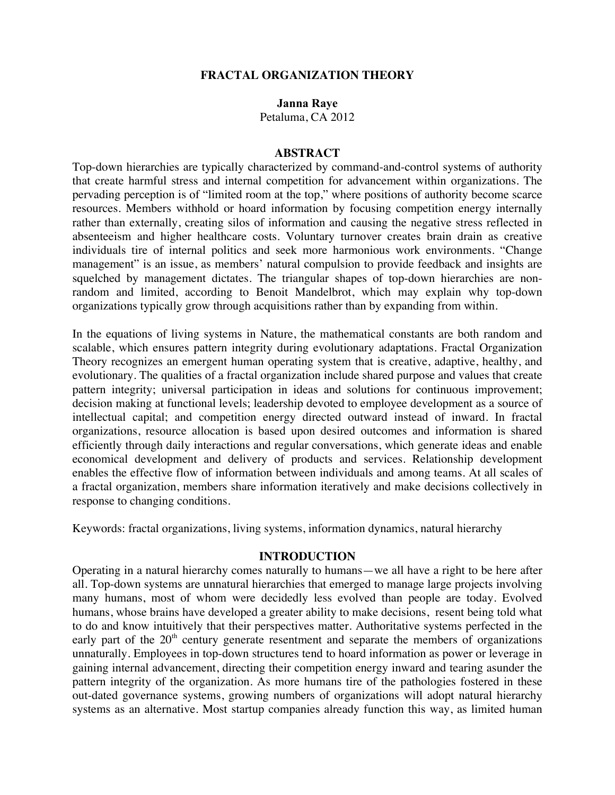#### **FRACTAL ORGANIZATION THEORY**

#### **Janna Raye**

Petaluma, CA 2012

#### **ABSTRACT**

Top-down hierarchies are typically characterized by command-and-control systems of authority that create harmful stress and internal competition for advancement within organizations. The pervading perception is of "limited room at the top," where positions of authority become scarce resources. Members withhold or hoard information by focusing competition energy internally rather than externally, creating silos of information and causing the negative stress reflected in absenteeism and higher healthcare costs. Voluntary turnover creates brain drain as creative individuals tire of internal politics and seek more harmonious work environments. "Change management" is an issue, as members' natural compulsion to provide feedback and insights are squelched by management dictates. The triangular shapes of top-down hierarchies are nonrandom and limited, according to Benoit Mandelbrot, which may explain why top-down organizations typically grow through acquisitions rather than by expanding from within.

In the equations of living systems in Nature, the mathematical constants are both random and scalable, which ensures pattern integrity during evolutionary adaptations. Fractal Organization Theory recognizes an emergent human operating system that is creative, adaptive, healthy, and evolutionary. The qualities of a fractal organization include shared purpose and values that create pattern integrity; universal participation in ideas and solutions for continuous improvement; decision making at functional levels; leadership devoted to employee development as a source of intellectual capital; and competition energy directed outward instead of inward. In fractal organizations, resource allocation is based upon desired outcomes and information is shared efficiently through daily interactions and regular conversations, which generate ideas and enable economical development and delivery of products and services. Relationship development enables the effective flow of information between individuals and among teams. At all scales of a fractal organization, members share information iteratively and make decisions collectively in response to changing conditions.

Keywords: fractal organizations, living systems, information dynamics, natural hierarchy

#### **INTRODUCTION**

Operating in a natural hierarchy comes naturally to humans—we all have a right to be here after all. Top-down systems are unnatural hierarchies that emerged to manage large projects involving many humans, most of whom were decidedly less evolved than people are today. Evolved humans, whose brains have developed a greater ability to make decisions, resent being told what to do and know intuitively that their perspectives matter. Authoritative systems perfected in the early part of the  $20<sup>th</sup>$  century generate resentment and separate the members of organizations unnaturally. Employees in top-down structures tend to hoard information as power or leverage in gaining internal advancement, directing their competition energy inward and tearing asunder the pattern integrity of the organization. As more humans tire of the pathologies fostered in these out-dated governance systems, growing numbers of organizations will adopt natural hierarchy systems as an alternative. Most startup companies already function this way, as limited human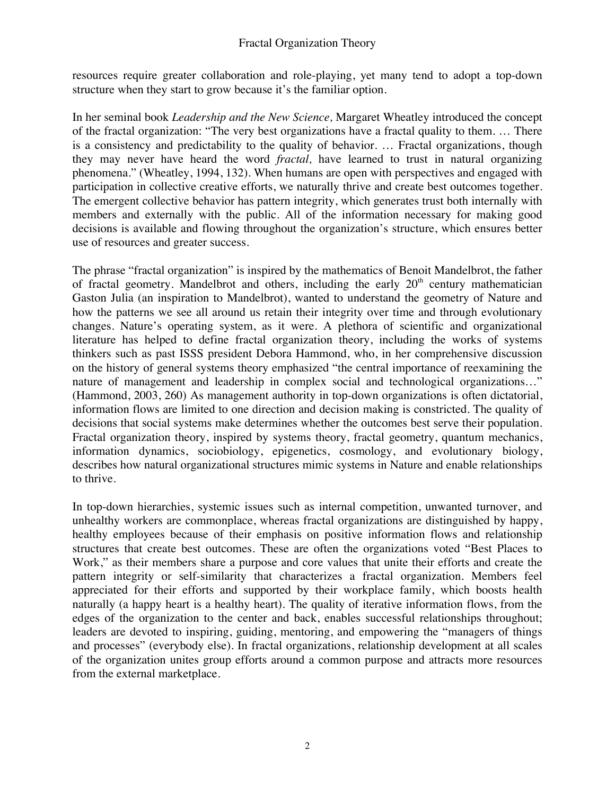resources require greater collaboration and role-playing, yet many tend to adopt a top-down structure when they start to grow because it's the familiar option.

In her seminal book *Leadership and the New Science,* Margaret Wheatley introduced the concept of the fractal organization: "The very best organizations have a fractal quality to them. … There is a consistency and predictability to the quality of behavior. … Fractal organizations, though they may never have heard the word *fractal,* have learned to trust in natural organizing phenomena." (Wheatley, 1994, 132). When humans are open with perspectives and engaged with participation in collective creative efforts, we naturally thrive and create best outcomes together. The emergent collective behavior has pattern integrity, which generates trust both internally with members and externally with the public. All of the information necessary for making good decisions is available and flowing throughout the organization's structure, which ensures better use of resources and greater success.

The phrase "fractal organization" is inspired by the mathematics of Benoit Mandelbrot, the father of fractal geometry. Mandelbrot and others, including the early  $20<sup>th</sup>$  century mathematician Gaston Julia (an inspiration to Mandelbrot), wanted to understand the geometry of Nature and how the patterns we see all around us retain their integrity over time and through evolutionary changes. Nature's operating system, as it were. A plethora of scientific and organizational literature has helped to define fractal organization theory, including the works of systems thinkers such as past ISSS president Debora Hammond, who, in her comprehensive discussion on the history of general systems theory emphasized "the central importance of reexamining the nature of management and leadership in complex social and technological organizations…" (Hammond, 2003, 260) As management authority in top-down organizations is often dictatorial, information flows are limited to one direction and decision making is constricted. The quality of decisions that social systems make determines whether the outcomes best serve their population. Fractal organization theory, inspired by systems theory, fractal geometry, quantum mechanics, information dynamics, sociobiology, epigenetics, cosmology, and evolutionary biology, describes how natural organizational structures mimic systems in Nature and enable relationships to thrive.

In top-down hierarchies, systemic issues such as internal competition, unwanted turnover, and unhealthy workers are commonplace, whereas fractal organizations are distinguished by happy, healthy employees because of their emphasis on positive information flows and relationship structures that create best outcomes. These are often the organizations voted "Best Places to Work," as their members share a purpose and core values that unite their efforts and create the pattern integrity or self-similarity that characterizes a fractal organization. Members feel appreciated for their efforts and supported by their workplace family, which boosts health naturally (a happy heart is a healthy heart). The quality of iterative information flows, from the edges of the organization to the center and back, enables successful relationships throughout; leaders are devoted to inspiring, guiding, mentoring, and empowering the "managers of things and processes" (everybody else). In fractal organizations, relationship development at all scales of the organization unites group efforts around a common purpose and attracts more resources from the external marketplace.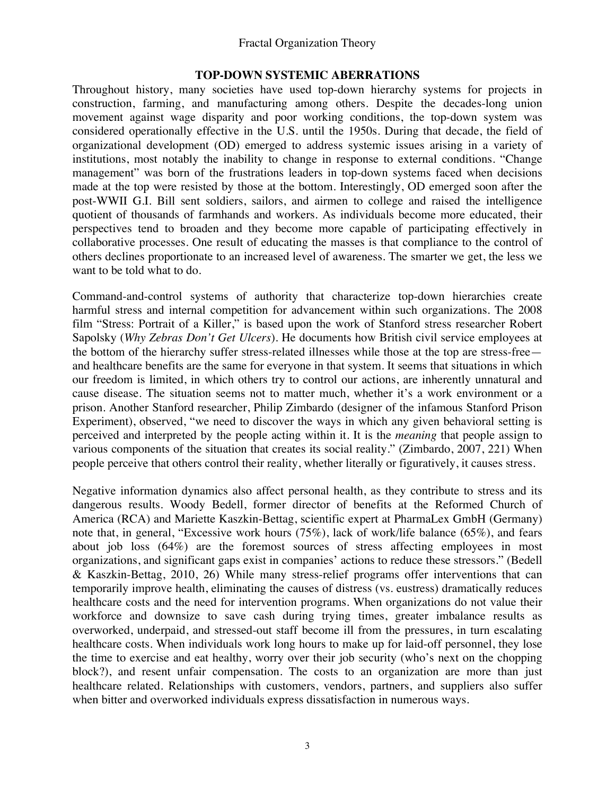## **TOP-DOWN SYSTEMIC ABERRATIONS**

Throughout history, many societies have used top-down hierarchy systems for projects in construction, farming, and manufacturing among others. Despite the decades-long union movement against wage disparity and poor working conditions, the top-down system was considered operationally effective in the U.S. until the 1950s. During that decade, the field of organizational development (OD) emerged to address systemic issues arising in a variety of institutions, most notably the inability to change in response to external conditions. "Change management" was born of the frustrations leaders in top-down systems faced when decisions made at the top were resisted by those at the bottom. Interestingly, OD emerged soon after the post-WWII G.I. Bill sent soldiers, sailors, and airmen to college and raised the intelligence quotient of thousands of farmhands and workers. As individuals become more educated, their perspectives tend to broaden and they become more capable of participating effectively in collaborative processes. One result of educating the masses is that compliance to the control of others declines proportionate to an increased level of awareness. The smarter we get, the less we want to be told what to do.

Command-and-control systems of authority that characterize top-down hierarchies create harmful stress and internal competition for advancement within such organizations. The 2008 film "Stress: Portrait of a Killer," is based upon the work of Stanford stress researcher Robert Sapolsky (*Why Zebras Don't Get Ulcers*). He documents how British civil service employees at the bottom of the hierarchy suffer stress-related illnesses while those at the top are stress-free and healthcare benefits are the same for everyone in that system. It seems that situations in which our freedom is limited, in which others try to control our actions, are inherently unnatural and cause disease. The situation seems not to matter much, whether it's a work environment or a prison. Another Stanford researcher, Philip Zimbardo (designer of the infamous Stanford Prison Experiment), observed, "we need to discover the ways in which any given behavioral setting is perceived and interpreted by the people acting within it. It is the *meaning* that people assign to various components of the situation that creates its social reality." (Zimbardo, 2007, 221) When people perceive that others control their reality, whether literally or figuratively, it causes stress.

Negative information dynamics also affect personal health, as they contribute to stress and its dangerous results. Woody Bedell, former director of benefits at the Reformed Church of America (RCA) and Mariette Kaszkin-Bettag, scientific expert at PharmaLex GmbH (Germany) note that, in general, "Excessive work hours (75%), lack of work/life balance (65%), and fears about job loss (64%) are the foremost sources of stress affecting employees in most organizations, and significant gaps exist in companies' actions to reduce these stressors." (Bedell & Kaszkin-Bettag, 2010, 26) While many stress-relief programs offer interventions that can temporarily improve health, eliminating the causes of distress (vs. eustress) dramatically reduces healthcare costs and the need for intervention programs. When organizations do not value their workforce and downsize to save cash during trying times, greater imbalance results as overworked, underpaid, and stressed-out staff become ill from the pressures, in turn escalating healthcare costs. When individuals work long hours to make up for laid-off personnel, they lose the time to exercise and eat healthy, worry over their job security (who's next on the chopping block?), and resent unfair compensation. The costs to an organization are more than just healthcare related. Relationships with customers, vendors, partners, and suppliers also suffer when bitter and overworked individuals express dissatisfaction in numerous ways.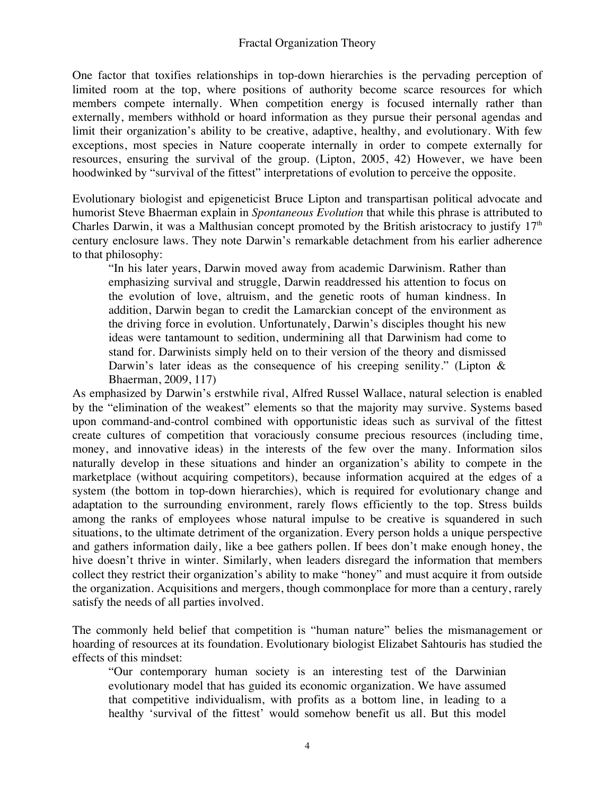One factor that toxifies relationships in top-down hierarchies is the pervading perception of limited room at the top, where positions of authority become scarce resources for which members compete internally. When competition energy is focused internally rather than externally, members withhold or hoard information as they pursue their personal agendas and limit their organization's ability to be creative, adaptive, healthy, and evolutionary. With few exceptions, most species in Nature cooperate internally in order to compete externally for resources, ensuring the survival of the group. (Lipton, 2005, 42) However, we have been hoodwinked by "survival of the fittest" interpretations of evolution to perceive the opposite.

Evolutionary biologist and epigeneticist Bruce Lipton and transpartisan political advocate and humorist Steve Bhaerman explain in *Spontaneous Evolution* that while this phrase is attributed to Charles Darwin, it was a Malthusian concept promoted by the British aristocracy to justify  $17<sup>th</sup>$ century enclosure laws. They note Darwin's remarkable detachment from his earlier adherence to that philosophy:

"In his later years, Darwin moved away from academic Darwinism. Rather than emphasizing survival and struggle, Darwin readdressed his attention to focus on the evolution of love, altruism, and the genetic roots of human kindness. In addition, Darwin began to credit the Lamarckian concept of the environment as the driving force in evolution. Unfortunately, Darwin's disciples thought his new ideas were tantamount to sedition, undermining all that Darwinism had come to stand for. Darwinists simply held on to their version of the theory and dismissed Darwin's later ideas as the consequence of his creeping senility." (Lipton & Bhaerman, 2009, 117)

As emphasized by Darwin's erstwhile rival, Alfred Russel Wallace, natural selection is enabled by the "elimination of the weakest" elements so that the majority may survive. Systems based upon command-and-control combined with opportunistic ideas such as survival of the fittest create cultures of competition that voraciously consume precious resources (including time, money, and innovative ideas) in the interests of the few over the many. Information silos naturally develop in these situations and hinder an organization's ability to compete in the marketplace (without acquiring competitors), because information acquired at the edges of a system (the bottom in top-down hierarchies), which is required for evolutionary change and adaptation to the surrounding environment, rarely flows efficiently to the top. Stress builds among the ranks of employees whose natural impulse to be creative is squandered in such situations, to the ultimate detriment of the organization. Every person holds a unique perspective and gathers information daily, like a bee gathers pollen. If bees don't make enough honey, the hive doesn't thrive in winter. Similarly, when leaders disregard the information that members collect they restrict their organization's ability to make "honey" and must acquire it from outside the organization. Acquisitions and mergers, though commonplace for more than a century, rarely satisfy the needs of all parties involved.

The commonly held belief that competition is "human nature" belies the mismanagement or hoarding of resources at its foundation. Evolutionary biologist Elizabet Sahtouris has studied the effects of this mindset:

"Our contemporary human society is an interesting test of the Darwinian evolutionary model that has guided its economic organization. We have assumed that competitive individualism, with profits as a bottom line, in leading to a healthy 'survival of the fittest' would somehow benefit us all. But this model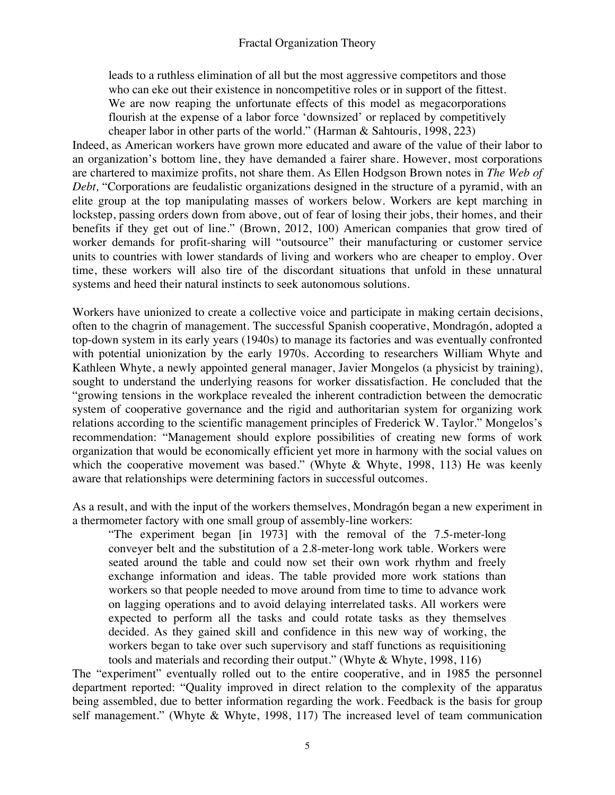leads to a ruthless elimination of all but the most aggressive competitors and those who can eke out their existence in noncompetitive roles or in support of the fittest. We are now reaping the unfortunate effects of this model as megacorporations flourish at the expense of a labor force 'downsized' or replaced by competitively cheaper labor in other parts of the world." (Harman & Sahtouris, 1998, 223)

Indeed, as American workers have grown more educated and aware of the value of their labor to an organization's bottom line, they have demanded a fairer share. However, most corporations are chartered to maximize profits, not share them. As Ellen Hodgson Brown notes in *The Web of Debt,* "Corporations are feudalistic organizations designed in the structure of a pyramid, with an elite group at the top manipulating masses of workers below. Workers are kept marching in lockstep, passing orders down from above, out of fear of losing their jobs, their homes, and their benefits if they get out of line." (Brown, 2012, 100) American companies that grow tired of worker demands for profit-sharing will "outsource" their manufacturing or customer service units to countries with lower standards of living and workers who are cheaper to employ. Over time, these workers will also tire of the discordant situations that unfold in these unnatural systems and heed their natural instincts to seek autonomous solutions.

Workers have unionized to create a collective voice and participate in making certain decisions, often to the chagrin of management. The successful Spanish cooperative, Mondragón, adopted a top-down system in its early years (1940s) to manage its factories and was eventually confronted with potential unionization by the early 1970s. According to researchers William Whyte and Kathleen Whyte, a newly appointed general manager, Javier Mongelos (a physicist by training), sought to understand the underlying reasons for worker dissatisfaction. He concluded that the "growing tensions in the workplace revealed the inherent contradiction between the democratic system of cooperative governance and the rigid and authoritarian system for organizing work relations according to the scientific management principles of Frederick W. Taylor." Mongelos's recommendation: "Management should explore possibilities of creating new forms of work organization that would be economically efficient yet more in harmony with the social values on which the cooperative movement was based." (Whyte  $\&$  Whyte, 1998, 113) He was keenly aware that relationships were determining factors in successful outcomes.

As a result, and with the input of the workers themselves, Mondragón began a new experiment in a thermometer factory with one small group of assembly-line workers:

"The experiment began [in 1973] with the removal of the 7.5-meter-long conveyer belt and the substitution of a 2.8-meter-long work table. Workers were seated around the table and could now set their own work rhythm and freely exchange information and ideas. The table provided more work stations than workers so that people needed to move around from time to time to advance work on lagging operations and to avoid delaying interrelated tasks. All workers were expected to perform all the tasks and could rotate tasks as they themselves decided. As they gained skill and confidence in this new way of working, the workers began to take over such supervisory and staff functions as requisitioning tools and materials and recording their output." (Whyte & Whyte, 1998, 116)

The "experiment" eventually rolled out to the entire cooperative, and in 1985 the personnel department reported: "Quality improved in direct relation to the complexity of the apparatus being assembled, due to better information regarding the work. Feedback is the basis for group self management." (Whyte & Whyte, 1998, 117) The increased level of team communication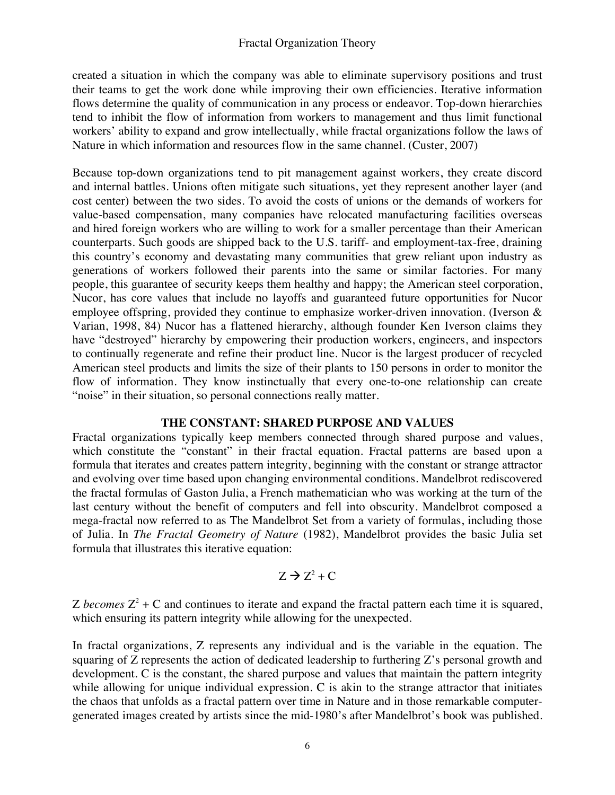created a situation in which the company was able to eliminate supervisory positions and trust their teams to get the work done while improving their own efficiencies. Iterative information flows determine the quality of communication in any process or endeavor. Top-down hierarchies tend to inhibit the flow of information from workers to management and thus limit functional workers' ability to expand and grow intellectually, while fractal organizations follow the laws of Nature in which information and resources flow in the same channel. (Custer, 2007)

Because top-down organizations tend to pit management against workers, they create discord and internal battles. Unions often mitigate such situations, yet they represent another layer (and cost center) between the two sides. To avoid the costs of unions or the demands of workers for value-based compensation, many companies have relocated manufacturing facilities overseas and hired foreign workers who are willing to work for a smaller percentage than their American counterparts. Such goods are shipped back to the U.S. tariff- and employment-tax-free, draining this country's economy and devastating many communities that grew reliant upon industry as generations of workers followed their parents into the same or similar factories. For many people, this guarantee of security keeps them healthy and happy; the American steel corporation, Nucor, has core values that include no layoffs and guaranteed future opportunities for Nucor employee offspring, provided they continue to emphasize worker-driven innovation. (Iverson & Varian, 1998, 84) Nucor has a flattened hierarchy, although founder Ken Iverson claims they have "destroyed" hierarchy by empowering their production workers, engineers, and inspectors to continually regenerate and refine their product line. Nucor is the largest producer of recycled American steel products and limits the size of their plants to 150 persons in order to monitor the flow of information. They know instinctually that every one-to-one relationship can create "noise" in their situation, so personal connections really matter.

# **THE CONSTANT: SHARED PURPOSE AND VALUES**

Fractal organizations typically keep members connected through shared purpose and values, which constitute the "constant" in their fractal equation. Fractal patterns are based upon a formula that iterates and creates pattern integrity, beginning with the constant or strange attractor and evolving over time based upon changing environmental conditions. Mandelbrot rediscovered the fractal formulas of Gaston Julia, a French mathematician who was working at the turn of the last century without the benefit of computers and fell into obscurity. Mandelbrot composed a mega-fractal now referred to as The Mandelbrot Set from a variety of formulas, including those of Julia. In *The Fractal Geometry of Nature* (1982), Mandelbrot provides the basic Julia set formula that illustrates this iterative equation:

$$
Z \to Z^2 + C
$$

Z *becomes*  $Z^2$  + C and continues to iterate and expand the fractal pattern each time it is squared, which ensuring its pattern integrity while allowing for the unexpected.

In fractal organizations, Z represents any individual and is the variable in the equation. The squaring of Z represents the action of dedicated leadership to furthering Z's personal growth and development. C is the constant, the shared purpose and values that maintain the pattern integrity while allowing for unique individual expression. C is akin to the strange attractor that initiates the chaos that unfolds as a fractal pattern over time in Nature and in those remarkable computergenerated images created by artists since the mid-1980's after Mandelbrot's book was published.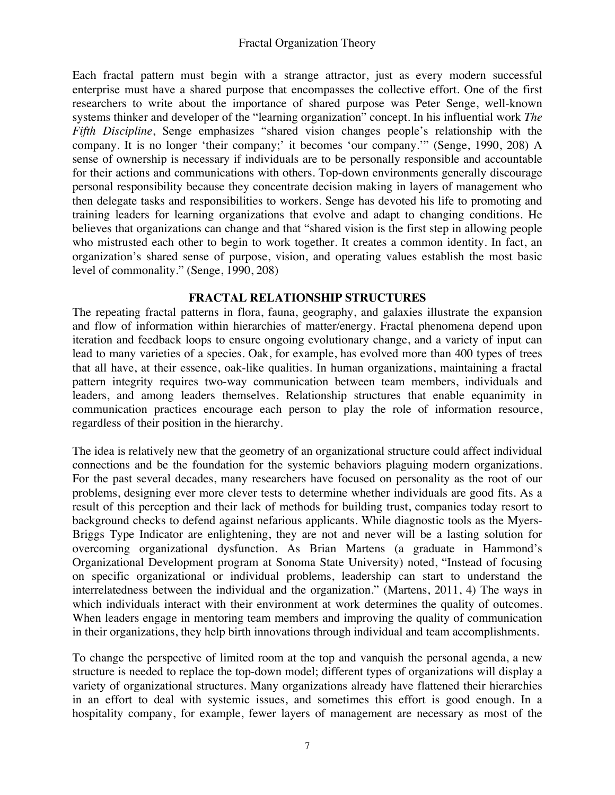Each fractal pattern must begin with a strange attractor, just as every modern successful enterprise must have a shared purpose that encompasses the collective effort. One of the first researchers to write about the importance of shared purpose was Peter Senge, well-known systems thinker and developer of the "learning organization" concept. In his influential work *The Fifth Discipline*, Senge emphasizes "shared vision changes people's relationship with the company. It is no longer 'their company;' it becomes 'our company.'" (Senge, 1990, 208) A sense of ownership is necessary if individuals are to be personally responsible and accountable for their actions and communications with others. Top-down environments generally discourage personal responsibility because they concentrate decision making in layers of management who then delegate tasks and responsibilities to workers. Senge has devoted his life to promoting and training leaders for learning organizations that evolve and adapt to changing conditions. He believes that organizations can change and that "shared vision is the first step in allowing people who mistrusted each other to begin to work together. It creates a common identity. In fact, an organization's shared sense of purpose, vision, and operating values establish the most basic level of commonality." (Senge, 1990, 208)

# **FRACTAL RELATIONSHIP STRUCTURES**

The repeating fractal patterns in flora, fauna, geography, and galaxies illustrate the expansion and flow of information within hierarchies of matter/energy. Fractal phenomena depend upon iteration and feedback loops to ensure ongoing evolutionary change, and a variety of input can lead to many varieties of a species. Oak, for example, has evolved more than 400 types of trees that all have, at their essence, oak-like qualities. In human organizations, maintaining a fractal pattern integrity requires two-way communication between team members, individuals and leaders, and among leaders themselves. Relationship structures that enable equanimity in communication practices encourage each person to play the role of information resource, regardless of their position in the hierarchy.

The idea is relatively new that the geometry of an organizational structure could affect individual connections and be the foundation for the systemic behaviors plaguing modern organizations. For the past several decades, many researchers have focused on personality as the root of our problems, designing ever more clever tests to determine whether individuals are good fits. As a result of this perception and their lack of methods for building trust, companies today resort to background checks to defend against nefarious applicants. While diagnostic tools as the Myers-Briggs Type Indicator are enlightening, they are not and never will be a lasting solution for overcoming organizational dysfunction. As Brian Martens (a graduate in Hammond's Organizational Development program at Sonoma State University) noted, "Instead of focusing on specific organizational or individual problems, leadership can start to understand the interrelatedness between the individual and the organization." (Martens, 2011, 4) The ways in which individuals interact with their environment at work determines the quality of outcomes. When leaders engage in mentoring team members and improving the quality of communication in their organizations, they help birth innovations through individual and team accomplishments.

To change the perspective of limited room at the top and vanquish the personal agenda, a new structure is needed to replace the top-down model; different types of organizations will display a variety of organizational structures. Many organizations already have flattened their hierarchies in an effort to deal with systemic issues, and sometimes this effort is good enough. In a hospitality company, for example, fewer layers of management are necessary as most of the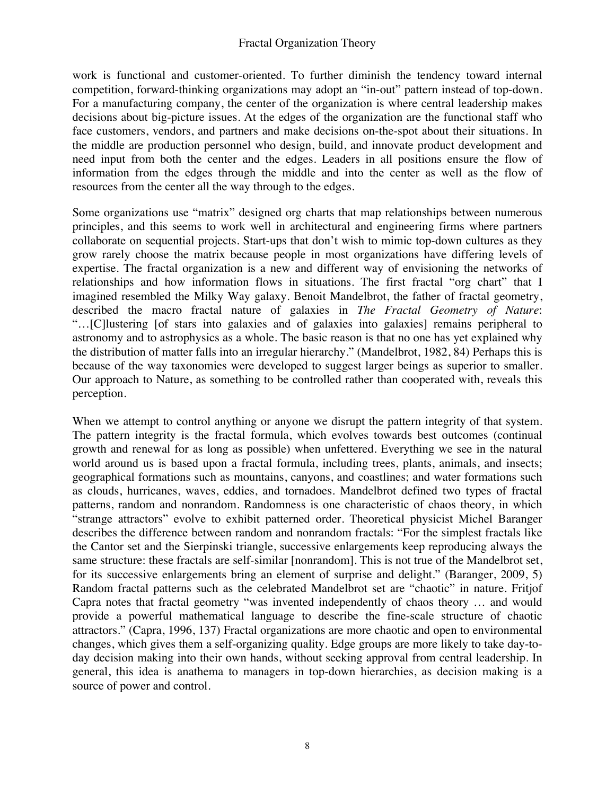work is functional and customer-oriented. To further diminish the tendency toward internal competition, forward-thinking organizations may adopt an "in-out" pattern instead of top-down. For a manufacturing company, the center of the organization is where central leadership makes decisions about big-picture issues. At the edges of the organization are the functional staff who face customers, vendors, and partners and make decisions on-the-spot about their situations. In the middle are production personnel who design, build, and innovate product development and need input from both the center and the edges. Leaders in all positions ensure the flow of information from the edges through the middle and into the center as well as the flow of resources from the center all the way through to the edges.

Some organizations use "matrix" designed org charts that map relationships between numerous principles, and this seems to work well in architectural and engineering firms where partners collaborate on sequential projects. Start-ups that don't wish to mimic top-down cultures as they grow rarely choose the matrix because people in most organizations have differing levels of expertise. The fractal organization is a new and different way of envisioning the networks of relationships and how information flows in situations. The first fractal "org chart" that I imagined resembled the Milky Way galaxy. Benoit Mandelbrot, the father of fractal geometry, described the macro fractal nature of galaxies in *The Fractal Geometry of Nature*: "…[C]lustering [of stars into galaxies and of galaxies into galaxies] remains peripheral to astronomy and to astrophysics as a whole. The basic reason is that no one has yet explained why the distribution of matter falls into an irregular hierarchy." (Mandelbrot, 1982, 84) Perhaps this is because of the way taxonomies were developed to suggest larger beings as superior to smaller. Our approach to Nature, as something to be controlled rather than cooperated with, reveals this perception.

When we attempt to control anything or anyone we disrupt the pattern integrity of that system. The pattern integrity is the fractal formula, which evolves towards best outcomes (continual growth and renewal for as long as possible) when unfettered. Everything we see in the natural world around us is based upon a fractal formula, including trees, plants, animals, and insects; geographical formations such as mountains, canyons, and coastlines; and water formations such as clouds, hurricanes, waves, eddies, and tornadoes. Mandelbrot defined two types of fractal patterns, random and nonrandom. Randomness is one characteristic of chaos theory, in which "strange attractors" evolve to exhibit patterned order. Theoretical physicist Michel Baranger describes the difference between random and nonrandom fractals: "For the simplest fractals like the Cantor set and the Sierpinski triangle, successive enlargements keep reproducing always the same structure: these fractals are self-similar [nonrandom]. This is not true of the Mandelbrot set, for its successive enlargements bring an element of surprise and delight." (Baranger, 2009, 5) Random fractal patterns such as the celebrated Mandelbrot set are "chaotic" in nature. Fritjof Capra notes that fractal geometry "was invented independently of chaos theory … and would provide a powerful mathematical language to describe the fine-scale structure of chaotic attractors." (Capra, 1996, 137) Fractal organizations are more chaotic and open to environmental changes, which gives them a self-organizing quality. Edge groups are more likely to take day-today decision making into their own hands, without seeking approval from central leadership. In general, this idea is anathema to managers in top-down hierarchies, as decision making is a source of power and control.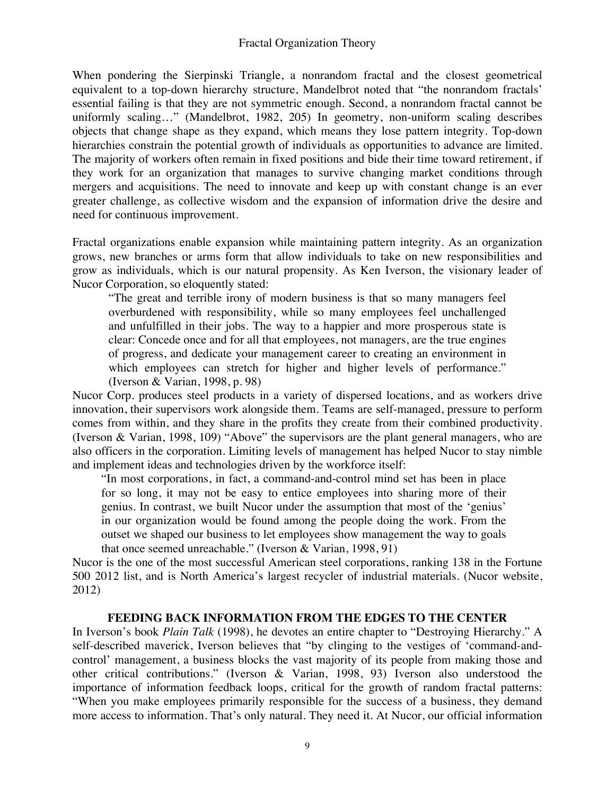When pondering the Sierpinski Triangle, a nonrandom fractal and the closest geometrical equivalent to a top-down hierarchy structure, Mandelbrot noted that "the nonrandom fractals' essential failing is that they are not symmetric enough. Second, a nonrandom fractal cannot be uniformly scaling…" (Mandelbrot, 1982, 205) In geometry, non-uniform scaling describes objects that change shape as they expand, which means they lose pattern integrity. Top-down hierarchies constrain the potential growth of individuals as opportunities to advance are limited. The majority of workers often remain in fixed positions and bide their time toward retirement, if they work for an organization that manages to survive changing market conditions through mergers and acquisitions. The need to innovate and keep up with constant change is an ever greater challenge, as collective wisdom and the expansion of information drive the desire and need for continuous improvement.

Fractal organizations enable expansion while maintaining pattern integrity. As an organization grows, new branches or arms form that allow individuals to take on new responsibilities and grow as individuals, which is our natural propensity. As Ken Iverson, the visionary leader of Nucor Corporation, so eloquently stated:

"The great and terrible irony of modern business is that so many managers feel overburdened with responsibility, while so many employees feel unchallenged and unfulfilled in their jobs. The way to a happier and more prosperous state is clear: Concede once and for all that employees, not managers, are the true engines of progress, and dedicate your management career to creating an environment in which employees can stretch for higher and higher levels of performance." (Iverson & Varian, 1998, p. 98)

Nucor Corp. produces steel products in a variety of dispersed locations, and as workers drive innovation, their supervisors work alongside them. Teams are self-managed, pressure to perform comes from within, and they share in the profits they create from their combined productivity. (Iverson & Varian, 1998, 109) "Above" the supervisors are the plant general managers, who are also officers in the corporation. Limiting levels of management has helped Nucor to stay nimble and implement ideas and technologies driven by the workforce itself:

"In most corporations, in fact, a command-and-control mind set has been in place for so long, it may not be easy to entice employees into sharing more of their genius. In contrast, we built Nucor under the assumption that most of the 'genius' in our organization would be found among the people doing the work. From the outset we shaped our business to let employees show management the way to goals that once seemed unreachable." (Iverson & Varian, 1998, 91)

Nucor is the one of the most successful American steel corporations, ranking 138 in the Fortune 500 2012 list, and is North America's largest recycler of industrial materials. (Nucor website, 2012)

## **FEEDING BACK INFORMATION FROM THE EDGES TO THE CENTER**

In Iverson's book *Plain Talk* (1998), he devotes an entire chapter to "Destroying Hierarchy." A self-described maverick, Iverson believes that "by clinging to the vestiges of 'command-andcontrol' management, a business blocks the vast majority of its people from making those and other critical contributions." (Iverson & Varian, 1998, 93) Iverson also understood the importance of information feedback loops, critical for the growth of random fractal patterns: "When you make employees primarily responsible for the success of a business, they demand more access to information. That's only natural. They need it. At Nucor, our official information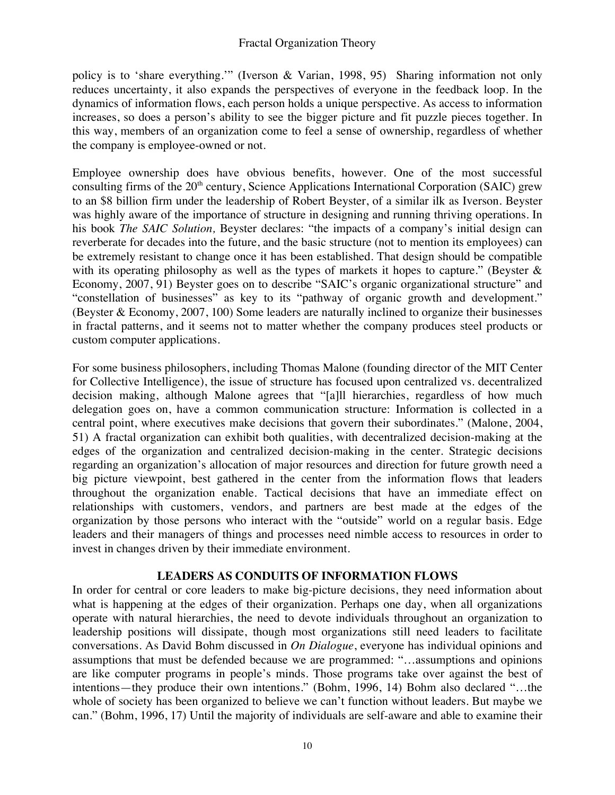policy is to 'share everything.'" (Iverson & Varian, 1998, 95) Sharing information not only reduces uncertainty, it also expands the perspectives of everyone in the feedback loop. In the dynamics of information flows, each person holds a unique perspective. As access to information increases, so does a person's ability to see the bigger picture and fit puzzle pieces together. In this way, members of an organization come to feel a sense of ownership, regardless of whether the company is employee-owned or not.

Employee ownership does have obvious benefits, however. One of the most successful consulting firms of the  $20<sup>th</sup>$  century, Science Applications International Corporation (SAIC) grew to an \$8 billion firm under the leadership of Robert Beyster, of a similar ilk as Iverson. Beyster was highly aware of the importance of structure in designing and running thriving operations. In his book *The SAIC Solution,* Beyster declares: "the impacts of a company's initial design can reverberate for decades into the future, and the basic structure (not to mention its employees) can be extremely resistant to change once it has been established. That design should be compatible with its operating philosophy as well as the types of markets it hopes to capture." (Beyster & Economy, 2007, 91) Beyster goes on to describe "SAIC's organic organizational structure" and "constellation of businesses" as key to its "pathway of organic growth and development." (Beyster & Economy, 2007, 100) Some leaders are naturally inclined to organize their businesses in fractal patterns, and it seems not to matter whether the company produces steel products or custom computer applications.

For some business philosophers, including Thomas Malone (founding director of the MIT Center for Collective Intelligence), the issue of structure has focused upon centralized vs. decentralized decision making, although Malone agrees that "[a]ll hierarchies, regardless of how much delegation goes on, have a common communication structure: Information is collected in a central point, where executives make decisions that govern their subordinates." (Malone, 2004, 51) A fractal organization can exhibit both qualities, with decentralized decision-making at the edges of the organization and centralized decision-making in the center. Strategic decisions regarding an organization's allocation of major resources and direction for future growth need a big picture viewpoint, best gathered in the center from the information flows that leaders throughout the organization enable. Tactical decisions that have an immediate effect on relationships with customers, vendors, and partners are best made at the edges of the organization by those persons who interact with the "outside" world on a regular basis. Edge leaders and their managers of things and processes need nimble access to resources in order to invest in changes driven by their immediate environment.

# **LEADERS AS CONDUITS OF INFORMATION FLOWS**

In order for central or core leaders to make big-picture decisions, they need information about what is happening at the edges of their organization. Perhaps one day, when all organizations operate with natural hierarchies, the need to devote individuals throughout an organization to leadership positions will dissipate, though most organizations still need leaders to facilitate conversations. As David Bohm discussed in *On Dialogue*, everyone has individual opinions and assumptions that must be defended because we are programmed: "…assumptions and opinions are like computer programs in people's minds. Those programs take over against the best of intentions—they produce their own intentions." (Bohm, 1996, 14) Bohm also declared "…the whole of society has been organized to believe we can't function without leaders. But maybe we can." (Bohm, 1996, 17) Until the majority of individuals are self-aware and able to examine their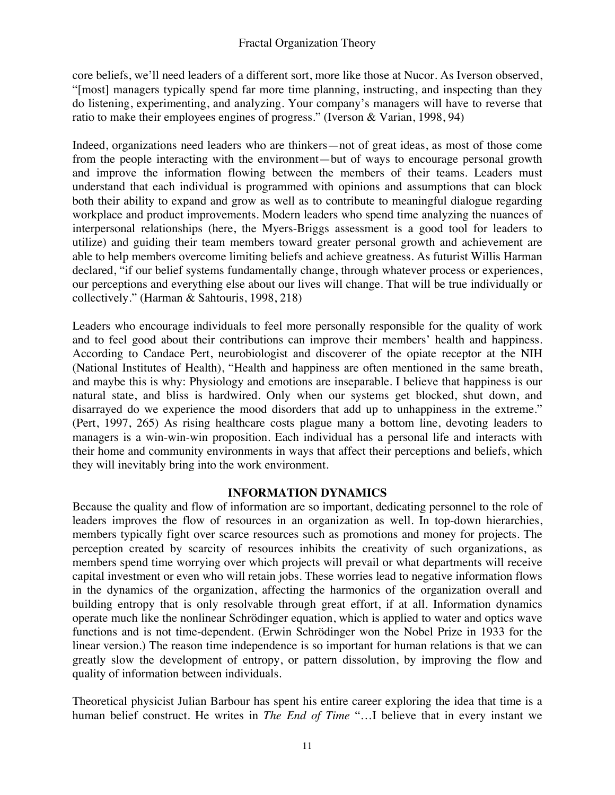core beliefs, we'll need leaders of a different sort, more like those at Nucor. As Iverson observed, "[most] managers typically spend far more time planning, instructing, and inspecting than they do listening, experimenting, and analyzing. Your company's managers will have to reverse that ratio to make their employees engines of progress." (Iverson & Varian, 1998, 94)

Indeed, organizations need leaders who are thinkers—not of great ideas, as most of those come from the people interacting with the environment—but of ways to encourage personal growth and improve the information flowing between the members of their teams. Leaders must understand that each individual is programmed with opinions and assumptions that can block both their ability to expand and grow as well as to contribute to meaningful dialogue regarding workplace and product improvements. Modern leaders who spend time analyzing the nuances of interpersonal relationships (here, the Myers-Briggs assessment is a good tool for leaders to utilize) and guiding their team members toward greater personal growth and achievement are able to help members overcome limiting beliefs and achieve greatness. As futurist Willis Harman declared, "if our belief systems fundamentally change, through whatever process or experiences, our perceptions and everything else about our lives will change. That will be true individually or collectively." (Harman & Sahtouris, 1998, 218)

Leaders who encourage individuals to feel more personally responsible for the quality of work and to feel good about their contributions can improve their members' health and happiness. According to Candace Pert, neurobiologist and discoverer of the opiate receptor at the NIH (National Institutes of Health), "Health and happiness are often mentioned in the same breath, and maybe this is why: Physiology and emotions are inseparable. I believe that happiness is our natural state, and bliss is hardwired. Only when our systems get blocked, shut down, and disarrayed do we experience the mood disorders that add up to unhappiness in the extreme." (Pert, 1997, 265) As rising healthcare costs plague many a bottom line, devoting leaders to managers is a win-win-win proposition. Each individual has a personal life and interacts with their home and community environments in ways that affect their perceptions and beliefs, which they will inevitably bring into the work environment.

# **INFORMATION DYNAMICS**

Because the quality and flow of information are so important, dedicating personnel to the role of leaders improves the flow of resources in an organization as well. In top-down hierarchies, members typically fight over scarce resources such as promotions and money for projects. The perception created by scarcity of resources inhibits the creativity of such organizations, as members spend time worrying over which projects will prevail or what departments will receive capital investment or even who will retain jobs. These worries lead to negative information flows in the dynamics of the organization, affecting the harmonics of the organization overall and building entropy that is only resolvable through great effort, if at all. Information dynamics operate much like the nonlinear Schrödinger equation, which is applied to water and optics wave functions and is not time-dependent. (Erwin Schrödinger won the Nobel Prize in 1933 for the linear version.) The reason time independence is so important for human relations is that we can greatly slow the development of entropy, or pattern dissolution, by improving the flow and quality of information between individuals.

Theoretical physicist Julian Barbour has spent his entire career exploring the idea that time is a human belief construct. He writes in *The End of Time* "…I believe that in every instant we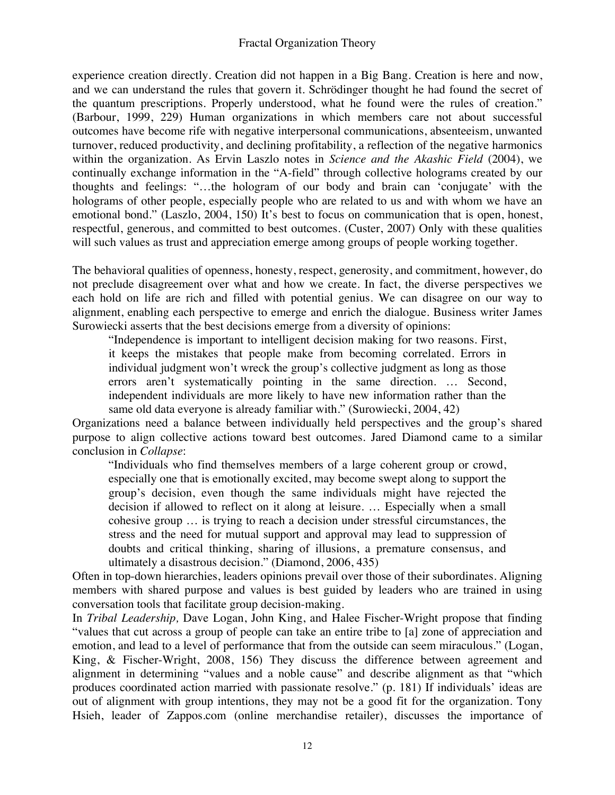experience creation directly. Creation did not happen in a Big Bang. Creation is here and now, and we can understand the rules that govern it. Schrödinger thought he had found the secret of the quantum prescriptions. Properly understood, what he found were the rules of creation." (Barbour, 1999, 229) Human organizations in which members care not about successful outcomes have become rife with negative interpersonal communications, absenteeism, unwanted turnover, reduced productivity, and declining profitability, a reflection of the negative harmonics within the organization. As Ervin Laszlo notes in *Science and the Akashic Field* (2004), we continually exchange information in the "A-field" through collective holograms created by our thoughts and feelings: "…the hologram of our body and brain can 'conjugate' with the holograms of other people, especially people who are related to us and with whom we have an emotional bond." (Laszlo, 2004, 150) It's best to focus on communication that is open, honest, respectful, generous, and committed to best outcomes. (Custer, 2007) Only with these qualities will such values as trust and appreciation emerge among groups of people working together.

The behavioral qualities of openness, honesty, respect, generosity, and commitment, however, do not preclude disagreement over what and how we create. In fact, the diverse perspectives we each hold on life are rich and filled with potential genius. We can disagree on our way to alignment, enabling each perspective to emerge and enrich the dialogue. Business writer James Surowiecki asserts that the best decisions emerge from a diversity of opinions:

"Independence is important to intelligent decision making for two reasons. First, it keeps the mistakes that people make from becoming correlated. Errors in individual judgment won't wreck the group's collective judgment as long as those errors aren't systematically pointing in the same direction. … Second, independent individuals are more likely to have new information rather than the same old data everyone is already familiar with." (Surowiecki, 2004, 42)

Organizations need a balance between individually held perspectives and the group's shared purpose to align collective actions toward best outcomes. Jared Diamond came to a similar conclusion in *Collapse*:

"Individuals who find themselves members of a large coherent group or crowd, especially one that is emotionally excited, may become swept along to support the group's decision, even though the same individuals might have rejected the decision if allowed to reflect on it along at leisure. … Especially when a small cohesive group … is trying to reach a decision under stressful circumstances, the stress and the need for mutual support and approval may lead to suppression of doubts and critical thinking, sharing of illusions, a premature consensus, and ultimately a disastrous decision." (Diamond, 2006, 435)

Often in top-down hierarchies, leaders opinions prevail over those of their subordinates. Aligning members with shared purpose and values is best guided by leaders who are trained in using conversation tools that facilitate group decision-making.

In *Tribal Leadership,* Dave Logan, John King, and Halee Fischer-Wright propose that finding "values that cut across a group of people can take an entire tribe to [a] zone of appreciation and emotion, and lead to a level of performance that from the outside can seem miraculous." (Logan, King, & Fischer-Wright, 2008, 156) They discuss the difference between agreement and alignment in determining "values and a noble cause" and describe alignment as that "which produces coordinated action married with passionate resolve." (p. 181) If individuals' ideas are out of alignment with group intentions, they may not be a good fit for the organization. Tony Hsieh, leader of Zappos.com (online merchandise retailer), discusses the importance of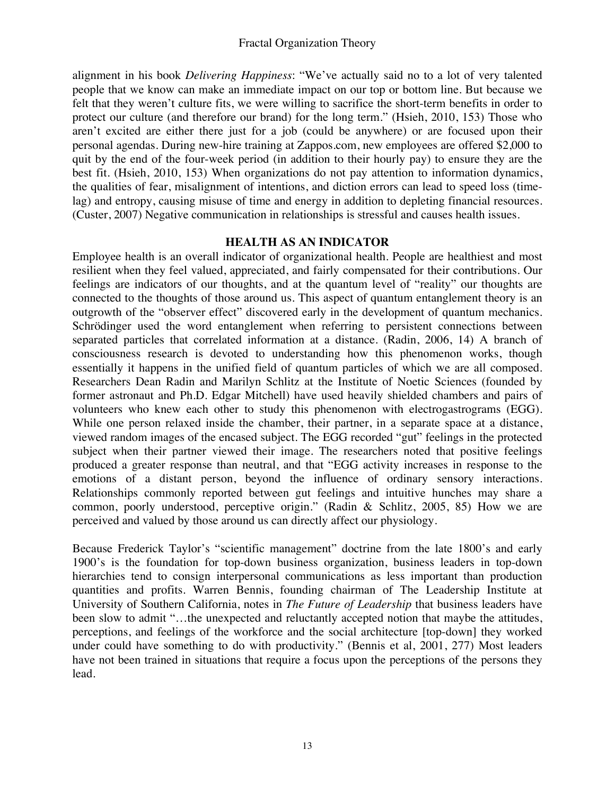alignment in his book *Delivering Happiness*: "We've actually said no to a lot of very talented people that we know can make an immediate impact on our top or bottom line. But because we felt that they weren't culture fits, we were willing to sacrifice the short-term benefits in order to protect our culture (and therefore our brand) for the long term." (Hsieh, 2010, 153) Those who aren't excited are either there just for a job (could be anywhere) or are focused upon their personal agendas. During new-hire training at Zappos.com, new employees are offered \$2,000 to quit by the end of the four-week period (in addition to their hourly pay) to ensure they are the best fit. (Hsieh, 2010, 153) When organizations do not pay attention to information dynamics, the qualities of fear, misalignment of intentions, and diction errors can lead to speed loss (timelag) and entropy, causing misuse of time and energy in addition to depleting financial resources. (Custer, 2007) Negative communication in relationships is stressful and causes health issues.

## **HEALTH AS AN INDICATOR**

Employee health is an overall indicator of organizational health. People are healthiest and most resilient when they feel valued, appreciated, and fairly compensated for their contributions. Our feelings are indicators of our thoughts, and at the quantum level of "reality" our thoughts are connected to the thoughts of those around us. This aspect of quantum entanglement theory is an outgrowth of the "observer effect" discovered early in the development of quantum mechanics. Schrödinger used the word entanglement when referring to persistent connections between separated particles that correlated information at a distance. (Radin, 2006, 14) A branch of consciousness research is devoted to understanding how this phenomenon works, though essentially it happens in the unified field of quantum particles of which we are all composed. Researchers Dean Radin and Marilyn Schlitz at the Institute of Noetic Sciences (founded by former astronaut and Ph.D. Edgar Mitchell) have used heavily shielded chambers and pairs of volunteers who knew each other to study this phenomenon with electrogastrograms (EGG). While one person relaxed inside the chamber, their partner, in a separate space at a distance, viewed random images of the encased subject. The EGG recorded "gut" feelings in the protected subject when their partner viewed their image. The researchers noted that positive feelings produced a greater response than neutral, and that "EGG activity increases in response to the emotions of a distant person, beyond the influence of ordinary sensory interactions. Relationships commonly reported between gut feelings and intuitive hunches may share a common, poorly understood, perceptive origin." (Radin & Schlitz, 2005, 85) How we are perceived and valued by those around us can directly affect our physiology.

Because Frederick Taylor's "scientific management" doctrine from the late 1800's and early 1900's is the foundation for top-down business organization, business leaders in top-down hierarchies tend to consign interpersonal communications as less important than production quantities and profits. Warren Bennis, founding chairman of The Leadership Institute at University of Southern California, notes in *The Future of Leadership* that business leaders have been slow to admit "...the unexpected and reluctantly accepted notion that maybe the attitudes, perceptions, and feelings of the workforce and the social architecture [top-down] they worked under could have something to do with productivity." (Bennis et al, 2001, 277) Most leaders have not been trained in situations that require a focus upon the perceptions of the persons they lead.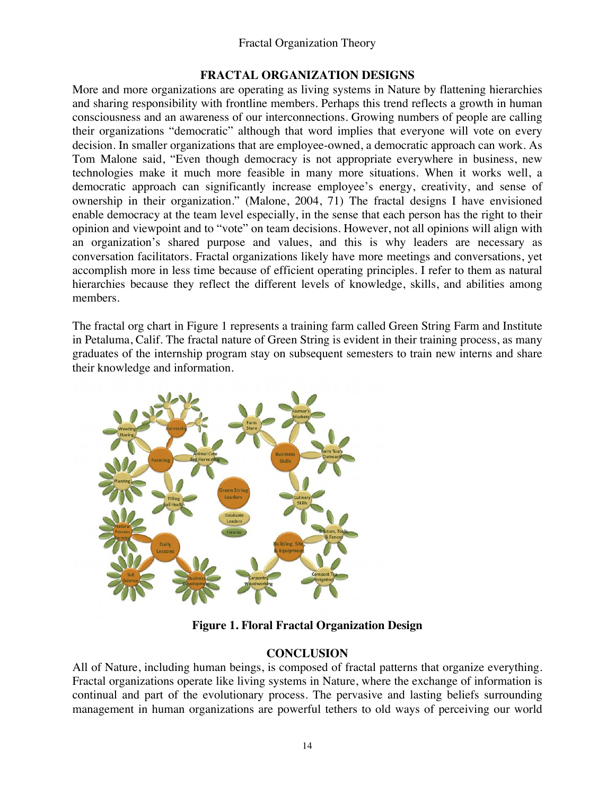## **FRACTAL ORGANIZATION DESIGNS**

More and more organizations are operating as living systems in Nature by flattening hierarchies and sharing responsibility with frontline members. Perhaps this trend reflects a growth in human consciousness and an awareness of our interconnections. Growing numbers of people are calling their organizations "democratic" although that word implies that everyone will vote on every decision. In smaller organizations that are employee-owned, a democratic approach can work. As Tom Malone said, "Even though democracy is not appropriate everywhere in business, new technologies make it much more feasible in many more situations. When it works well, a democratic approach can significantly increase employee's energy, creativity, and sense of ownership in their organization." (Malone, 2004, 71) The fractal designs I have envisioned enable democracy at the team level especially, in the sense that each person has the right to their opinion and viewpoint and to "vote" on team decisions. However, not all opinions will align with an organization's shared purpose and values, and this is why leaders are necessary as conversation facilitators. Fractal organizations likely have more meetings and conversations, yet accomplish more in less time because of efficient operating principles. I refer to them as natural hierarchies because they reflect the different levels of knowledge, skills, and abilities among members.

The fractal org chart in Figure 1 represents a training farm called Green String Farm and Institute in Petaluma, Calif. The fractal nature of Green String is evident in their training process, as many graduates of the internship program stay on subsequent semesters to train new interns and share their knowledge and information.



**Figure 1. Floral Fractal Organization Design**

# **CONCLUSION**

All of Nature, including human beings, is composed of fractal patterns that organize everything. Fractal organizations operate like living systems in Nature, where the exchange of information is continual and part of the evolutionary process. The pervasive and lasting beliefs surrounding management in human organizations are powerful tethers to old ways of perceiving our world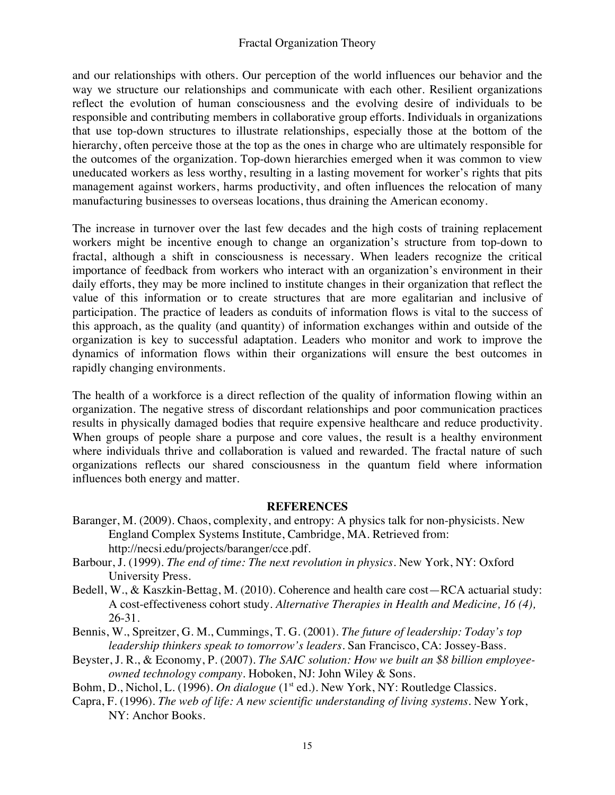and our relationships with others. Our perception of the world influences our behavior and the way we structure our relationships and communicate with each other. Resilient organizations reflect the evolution of human consciousness and the evolving desire of individuals to be responsible and contributing members in collaborative group efforts. Individuals in organizations that use top-down structures to illustrate relationships, especially those at the bottom of the hierarchy, often perceive those at the top as the ones in charge who are ultimately responsible for the outcomes of the organization. Top-down hierarchies emerged when it was common to view uneducated workers as less worthy, resulting in a lasting movement for worker's rights that pits management against workers, harms productivity, and often influences the relocation of many manufacturing businesses to overseas locations, thus draining the American economy.

The increase in turnover over the last few decades and the high costs of training replacement workers might be incentive enough to change an organization's structure from top-down to fractal, although a shift in consciousness is necessary. When leaders recognize the critical importance of feedback from workers who interact with an organization's environment in their daily efforts, they may be more inclined to institute changes in their organization that reflect the value of this information or to create structures that are more egalitarian and inclusive of participation. The practice of leaders as conduits of information flows is vital to the success of this approach, as the quality (and quantity) of information exchanges within and outside of the organization is key to successful adaptation. Leaders who monitor and work to improve the dynamics of information flows within their organizations will ensure the best outcomes in rapidly changing environments.

The health of a workforce is a direct reflection of the quality of information flowing within an organization. The negative stress of discordant relationships and poor communication practices results in physically damaged bodies that require expensive healthcare and reduce productivity. When groups of people share a purpose and core values, the result is a healthy environment where individuals thrive and collaboration is valued and rewarded. The fractal nature of such organizations reflects our shared consciousness in the quantum field where information influences both energy and matter.

## **REFERENCES**

- Baranger, M. (2009). Chaos, complexity, and entropy: A physics talk for non-physicists. New England Complex Systems Institute, Cambridge, MA. Retrieved from: http://necsi.edu/projects/baranger/cce.pdf.
- Barbour, J. (1999). *The end of time: The next revolution in physics*. New York, NY: Oxford University Press.
- Bedell, W., & Kaszkin-Bettag, M. (2010). Coherence and health care cost—RCA actuarial study: A cost-effectiveness cohort study. *Alternative Therapies in Health and Medicine, 16 (4),*  26-31.
- Bennis, W., Spreitzer, G. M., Cummings, T. G. (2001). *The future of leadership: Today's top leadership thinkers speak to tomorrow's leaders.* San Francisco, CA: Jossey-Bass.
- Beyster, J. R., & Economy, P. (2007). *The SAIC solution: How we built an \$8 billion employeeowned technology company*. Hoboken, NJ: John Wiley & Sons.
- Bohm, D., Nichol, L. (1996). *On dialogue* (1<sup>st</sup> ed.). New York, NY: Routledge Classics.
- Capra, F. (1996). *The web of life: A new scientific understanding of living systems*. New York, NY: Anchor Books.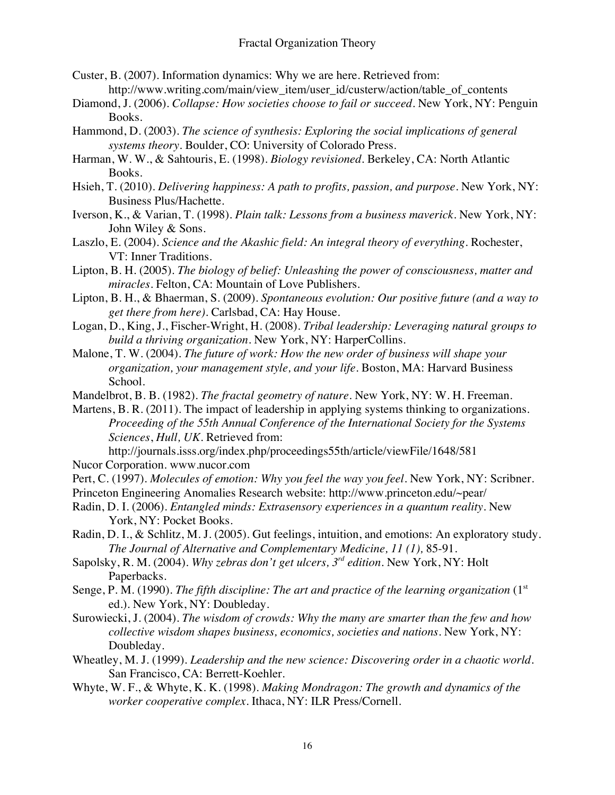- Custer, B. (2007). Information dynamics: Why we are here. Retrieved from: http://www.writing.com/main/view\_item/user\_id/custerw/action/table\_of\_contents
- Diamond, J. (2006). *Collapse: How societies choose to fail or succeed*. New York, NY: Penguin Books.
- Hammond, D. (2003). *The science of synthesis: Exploring the social implications of general systems theory*. Boulder, CO: University of Colorado Press.
- Harman, W. W., & Sahtouris, E. (1998). *Biology revisioned*. Berkeley, CA: North Atlantic Books.
- Hsieh, T. (2010). *Delivering happiness: A path to profits, passion, and purpose.* New York, NY: Business Plus/Hachette.
- Iverson, K., & Varian, T. (1998). *Plain talk: Lessons from a business maverick*. New York, NY: John Wiley & Sons.
- Laszlo, E. (2004). *Science and the Akashic field: An integral theory of everything.* Rochester, VT: Inner Traditions.
- Lipton, B. H. (2005). *The biology of belief: Unleashing the power of consciousness, matter and miracles.* Felton, CA: Mountain of Love Publishers.
- Lipton, B. H., & Bhaerman, S. (2009). *Spontaneous evolution: Our positive future (and a way to get there from here)*. Carlsbad, CA: Hay House.
- Logan, D., King, J., Fischer-Wright, H. (2008). *Tribal leadership: Leveraging natural groups to build a thriving organization.* New York, NY: HarperCollins.
- Malone, T. W. (2004). *The future of work: How the new order of business will shape your organization, your management style, and your life*. Boston, MA: Harvard Business School.
- Mandelbrot, B. B. (1982). *The fractal geometry of nature.* New York, NY: W. H. Freeman.
- Martens, B. R. (2011). The impact of leadership in applying systems thinking to organizations. *Proceeding of the 55th Annual Conference of the International Society for the Systems Sciences*, *Hull, UK*. Retrieved from:
	- http://journals.isss.org/index.php/proceedings55th/article/viewFile/1648/581

Nucor Corporation. www.nucor.com

- Pert, C. (1997). *Molecules of emotion: Why you feel the way you feel*. New York, NY: Scribner.
- Princeton Engineering Anomalies Research website: http://www.princeton.edu/~pear/
- Radin, D. I. (2006). *Entangled minds: Extrasensory experiences in a quantum reality*. New York, NY: Pocket Books.
- Radin, D. I., & Schlitz, M. J. (2005). Gut feelings, intuition, and emotions: An exploratory study. *The Journal of Alternative and Complementary Medicine, 11 (1),* 85-91*.*
- Sapolsky, R. M. (2004). *Why zebras don't get ulcers, 3rd edition.* New York, NY: Holt Paperbacks.
- Senge, P. M. (1990). *The fifth discipline: The art and practice of the learning organization* (1<sup>st</sup>) ed.). New York, NY: Doubleday.
- Surowiecki, J. (2004). *The wisdom of crowds: Why the many are smarter than the few and how collective wisdom shapes business, economics, societies and nations.* New York, NY: Doubleday.
- Wheatley, M. J. (1999). *Leadership and the new science: Discovering order in a chaotic world.* San Francisco, CA: Berrett-Koehler.
- Whyte, W. F., & Whyte, K. K. (1998). *Making Mondragon: The growth and dynamics of the worker cooperative complex.* Ithaca, NY: ILR Press/Cornell.